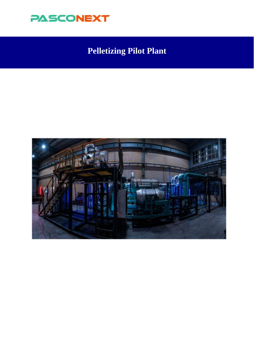

# **Pelletizing Pilot Plant**

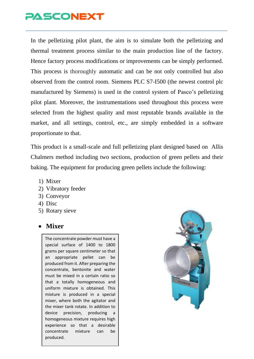In the pelletizing pilot plant, the aim is to simulate both the pelletizing and thermal treatment process similar to the main production line of the factory. Hence factory process modifications or improvements can be simply performed. This process is thoroughly automatic and can be not only controlled but also observed from the control room. Siemens PLC S7-I500 (the newest control plc manufactured by Siemens) is used in the control system of Pasco's pelletizing pilot plant. Moreover, the instrumentations used throughout this process were selected from the highest quality and most reputable brands available in the market, and all settings, control, etc., are simply embedded in a software proportionate to that.

This product is a small-scale and full pelletizing plant designed based on Allis Chalmers method including two sections, production of green pellets and their baking. The equipment for producing green pellets include the following:

- 1) Mixer
- 2) Vibratory feeder
- 3) Conveyor
- 4) Disc
- 5) Rotary sieve

#### • **Mixer**

The concentrate powder must have a special surface of 1400 to 1800 grams per square centimeter so that an appropriate pellet can be produced from it. After preparing the concentrate, bentonite and water must be mixed in a certain ratio so that a totally homogeneous and uniform mixture is obtained. This mixture is produced in a special mixer, where both the agitator and the mixer tank rotate. In addition to device precision, producing a homogeneous mixture requires high experience so that a desirable concentrate mixture can be produced.

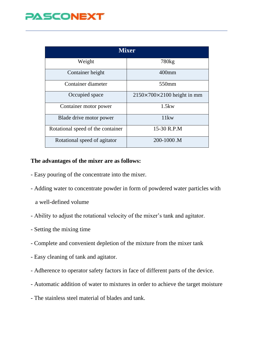| <b>Mixer</b>                      |                                        |
|-----------------------------------|----------------------------------------|
| Weight                            | 780 <sub>kg</sub>                      |
| Container height                  | $400$ mm                               |
| Container diameter                | 550mm                                  |
| Occupied space                    | $2150\times700\times2100$ height in mm |
| Container motor power             | 1.5kw                                  |
| Blade drive motor power           | 11kw                                   |
| Rotational speed of the container | 15-30 R.P.M                            |
| Rotational speed of agitator      | 200-1000.M                             |

#### **The advantages of the mixer are as follows:**

- Easy pouring of the concentrate into the mixer.
- Adding water to concentrate powder in form of powdered water particles with
	- a well-defined volume
- Ability to adjust the rotational velocity of the mixer's tank and agitator.
- Setting the mixing time
- Complete and convenient depletion of the mixture from the mixer tank
- Easy cleaning of tank and agitator.
- Adherence to operator safety factors in face of different parts of the device.
- Automatic addition of water to mixtures in order to achieve the target moisture
- The stainless steel material of blades and tank.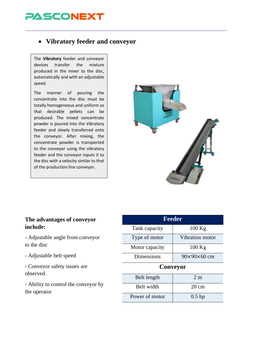### • **Vibratory feeder and conveyor**

The **Vibratory** feeder and conveyor devices transfer the mixture produced in the mixer to the disc, automatically and with an adjustable speed.

The manner of pouring the concentrate into the disc must be totally homogeneous and uniform so that desirable pellets can be produced. The mixed concentrate powder is poured into the Vibratory feeder and slowly transferred onto the conveyor. After mixing, the concentrate powder is transported to the conveyor using the vibratory feeder and the conveyor inputs it to the disc with a velocity similar to that of the production line conveyor.



#### **The advantages of conveyor include:**

- Adjustable angle from conveyor to the disc

- Adjustable belt speed

- Conveyor safety issues are observed.

- Ability to control the conveyor by the operator

| <b>Feeder</b>  |                         |  |
|----------------|-------------------------|--|
| Tank capacity  | $100$ Kg                |  |
| Type of motor  | Vibration motor         |  |
| Motor capacity | $100$ Kg                |  |
| Dimensions     | $90\times90\times60$ cm |  |
| Conveyor       |                         |  |
| Belt length    | 2m                      |  |
| Relt width     | cm                      |  |

| $        -$    |                 |
|----------------|-----------------|
| Belt width     | $20 \text{ cm}$ |
| Power of motor | $0.5$ hp        |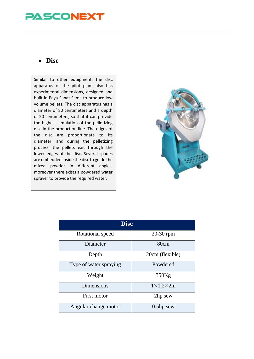#### • **Disc**

Similar to other equipment, the disc apparatus of the pilot plant also has experimental dimensions, designed and built in Paya Sanat Sama to produce low volume pellets. The disc apparatus has a diameter of 80 centimeters and a depth of 20 centimeters, so that it can provide the highest simulation of the pelletizing disc in the production line. The edges of the disc are proportionate to its diameter, and during the pelletizing process, the pellets exit through the lower edges of the disc. Several spades are embedded inside the disc to guide the mixed powder in different angles, moreover there exists a powdered water sprayer to provide the required water.



| <b>Disc</b>            |                      |
|------------------------|----------------------|
| Rotational speed       | 20-30 rpm            |
| Diameter               | 80cm                 |
| Depth                  | 20cm (flexible)      |
| Type of water spraying | Powdered             |
| Weight                 | 350Kg                |
| <b>Dimensions</b>      | $1\times1.2\times2m$ |
| First motor            | 2hp sew              |
| Angular change motor   | $0.5$ hp sew         |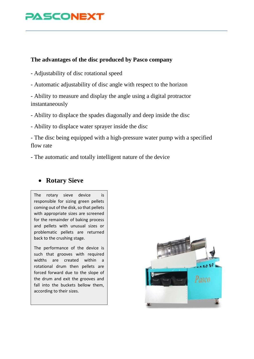#### **The advantages of the disc produced by Pasco company**

- Adjustability of disc rotational speed
- Automatic adjustability of disc angle with respect to the horizon

- Ability to measure and display the angle using a digital protractor instantaneously

- Ability to displace the spades diagonally and deep inside the disc
- Ability to displace water sprayer inside the disc

- The disc being equipped with a high-pressure water pump with a specified flow rate

- The automatic and totally intelligent nature of the device

#### • **Rotary Sieve**

The rotary sieve device is responsible for sizing green pellets coming out of the disk, so that pellets with appropriate sizes are screened for the remainder of baking process and pellets with unusual sizes or problematic pellets are returned back to the crushing stage.

The performance of the device is such that grooves with required widths are created within a rotational drum then pellets are forced forward due to the slope of the drum and exit the grooves and fall into the buckets bellow them, according to their sizes.

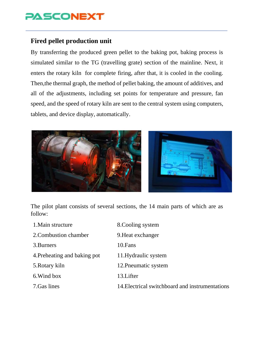### **Fired pellet production unit**

By transferring the produced green pellet to the baking pot, baking process is simulated similar to the TG (travelling grate) section of the mainline. Next, it enters the rotary kiln for complete firing, after that, it is cooled in the cooling. Then,the thermal graph, the method of pellet baking, the amount of additives, and all of the adjustments, including set points for temperature and pressure, fan speed, and the speed of rotary kiln are sent to the central system using computers, tablets, and device display, automatically.



The pilot plant consists of several sections, the 14 main parts of which are as follow:

| 1. Main structure            | 8. Cooling system                               |
|------------------------------|-------------------------------------------------|
| 2. Combustion chamber        | 9. Heat exchanger                               |
| 3. Burners                   | 10. Fans                                        |
| 4. Preheating and baking pot | 11. Hydraulic system                            |
| 5. Rotary kiln               | 12. Pneumatic system                            |
| 6. Wind box                  | 13. Lifter                                      |
| 7. Gas lines                 | 14. Electrical switchboard and instrumentations |
|                              |                                                 |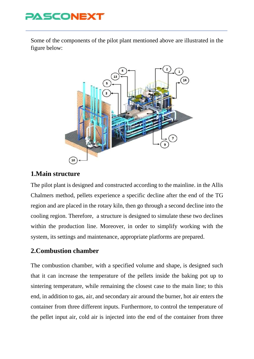

Some of the components of the pilot plant mentioned above are illustrated in the figure below:



### **1.Main structure**

The pilot plant is designed and constructed according to the mainline. in the Allis Chalmers method, pellets experience a specific decline after the end of the TG region and are placed in the rotary kiln, then go through a second decline into the cooling region. Therefore, a structure is designed to simulate these two declines within the production line. Moreover, in order to simplify working with the system, its settings and maintenance, appropriate platforms are prepared.

### **2.Combustion chamber**

The combustion chamber, with a specified volume and shape, is designed such that it can increase the temperature of the pellets inside the baking pot up to sintering temperature, while remaining the closest case to the main line; to this end, in addition to gas, air, and secondary air around the burner, hot air enters the container from three different inputs. Furthermore, to control the temperature of the pellet input air, cold air is injected into the end of the container from three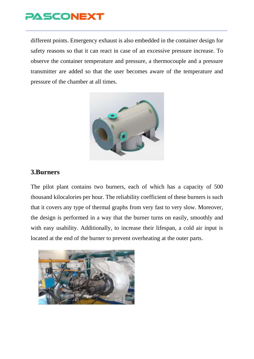

different points. Emergency exhaust is also embedded in the container design for safety reasons so that it can react in case of an excessive pressure increase. To observe the container temperature and pressure, a thermocouple and a pressure transmitter are added so that the user becomes aware of the temperature and pressure of the chamber at all times.



#### **3.Burners**

The pilot plant contains two burners, each of which has a capacity of 500 thousand kilocalories per hour. The reliability coefficient of these burners is such that it covers any type of thermal graphs from very fast to very slow. Moreover, the design is performed in a way that the burner turns on easily, smoothly and with easy usability. Additionally, to increase their lifespan, a cold air input is located at the end of the burner to prevent overheating at the outer parts.

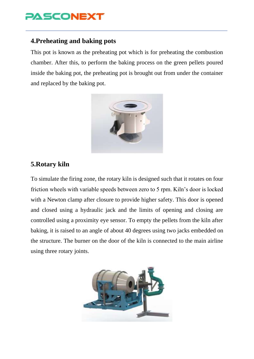

#### **4.Preheating and baking pots**

This pot is known as the preheating pot which is for preheating the combustion chamber. After this, to perform the baking process on the green pellets poured inside the baking pot, the preheating pot is brought out from under the container and replaced by the baking pot.



#### **5.Rotary kiln**

To simulate the firing zone, the rotary kiln is designed such that it rotates on four friction wheels with variable speeds between zero to 5 rpm. Kiln's door is locked with a Newton clamp after closure to provide higher safety. This door is opened and closed using a hydraulic jack and the limits of opening and closing are controlled using a proximity eye sensor. To empty the pellets from the kiln after baking, it is raised to an angle of about 40 degrees using two jacks embedded on the structure. The burner on the door of the kiln is connected to the main airline using three rotary joints.

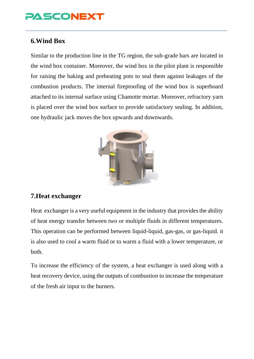#### **6.Wind Box**

Similar to the production line in the TG region, the sub-grade bars are located in the wind box container. Moreover, the wind box in the pilot plant is responsible for raising the baking and preheating pots to seal them against leakages of the combustion products. The internal fireproofing of the wind box is superboard attached to its internal surface using Chamotte mortar. Moreover, refractory yarn is placed over the wind box surface to provide satisfactory sealing. In addition, one hydraulic jack moves the box upwards and downwards.



### **7.Heat exchanger**

Heat exchanger is a very useful equipment in the industry that provides the ability of heat energy transfer between two or multiple fluids in different temperatures. This operation can be performed between liquid-liquid, gas-gas, or gas-liquid. it is also used to cool a warm fluid or to warm a fluid with a lower temperature, or both.

To increase the efficiency of the system, a heat exchanger is used along with a heat recovery device, using the outputs of combustion to increase the temperature of the fresh air input to the burners.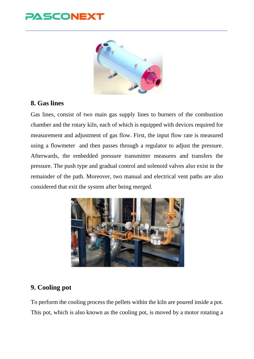## ASCONEX



#### **8. Gas lines**

Gas lines, consist of two main gas supply lines to burners of the combustion chamber and the rotary kiln, each of which is equipped with devices required for measurement and adjustment of gas flow. First, the input flow rate is measured using a flowmeter and then passes through a regulator to adjust the pressure. Afterwards, the embedded pressure transmitter measures and transfers the pressure. The push type and gradual control and solenoid valves also exist in the remainder of the path. Moreover, two manual and electrical vent paths are also considered that exit the system after being merged.



### **9. Cooling pot**

To perform the cooling process the pellets within the kiln are poured inside a pot. This pot, which is also known as the cooling pot, is moved by a motor rotating a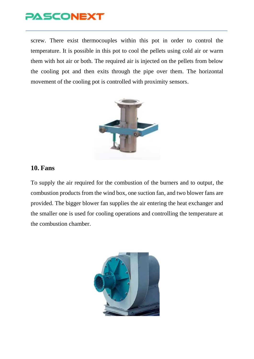

screw. There exist thermocouples within this pot in order to control the temperature. It is possible in this pot to cool the pellets using cold air or warm them with hot air or both. The required air is injected on the pellets from below the cooling pot and then exits through the pipe over them. The horizontal movement of the cooling pot is controlled with proximity sensors.



#### **10. Fans**

To supply the air required for the combustion of the burners and to output, the combustion products from the wind box, one suction fan, and two blower fans are provided. The bigger blower fan supplies the air entering the heat exchanger and the smaller one is used for cooling operations and controlling the temperature at the combustion chamber.